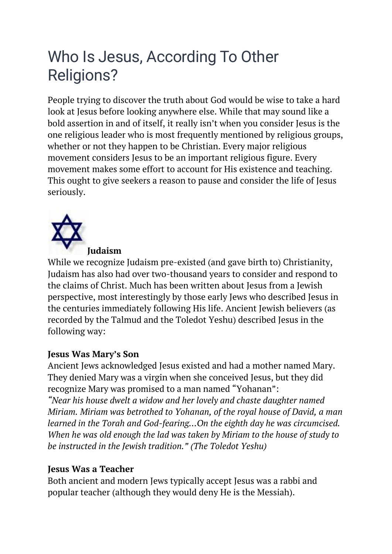# Who Is Jesus, According To Other Religions?

People trying to discover the truth about God would be wise to take a hard look at Jesus before looking anywhere else. While that may sound like a bold assertion in and of itself, it really isn't when you consider Jesus is the one religious leader who is most frequently mentioned by religious groups, whether or not they happen to be Christian. Every major religious movement considers Jesus to be an important religious figure. Every movement makes some effort to account for His existence and teaching. This ought to give seekers a reason to pause and consider the life of Jesus seriously.



## **Judaism**

While we recognize Judaism pre-existed (and gave birth to) Christianity, Judaism has also had over two-thousand years to consider and respond to the claims of Christ. Much has been written about Jesus from a Jewish perspective, most interestingly by those early Jews who described Jesus in the centuries immediately following His life. Ancient Jewish believers (as recorded by the Talmud and the Toledot Yeshu) described Jesus in the following way:

# **Jesus Was Mary's Son**

Ancient Jews acknowledged Jesus existed and had a mother named Mary. They denied Mary was a virgin when she conceived Jesus, but they did recognize Mary was promised to a man named "Yohanan":

*"Near his house dwelt a widow and her lovely and chaste daughter named Miriam. Miriam was betrothed to Yohanan, of the royal house of David, a man learned in the Torah and God-fearing…On the eighth day he was circumcised. When he was old enough the lad was taken by Miriam to the house of study to be instructed in the Jewish tradition." (The Toledot Yeshu)*

## **Jesus Was a Teacher**

Both ancient and modern Jews typically accept Jesus was a rabbi and popular teacher (although they would deny He is the Messiah).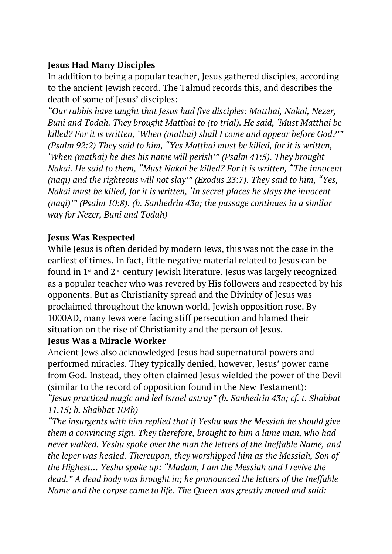# **Jesus Had Many Disciples**

In addition to being a popular teacher, Jesus gathered disciples, according to the ancient Jewish record. The Talmud records this, and describes the death of some of Jesus' disciples:

*"Our rabbis have taught that Jesus had five disciples: Matthai, Nakai, Nezer, Buni and Todah. They brought Matthai to (to trial). He said, 'Must Matthai be killed? For it is written, 'When (mathai) shall I come and appear before God?'" (Psalm 92:2) They said to him, "Yes Matthai must be killed, for it is written, 'When (mathai) he dies his name will perish'" (Psalm 41:5). They brought Nakai. He said to them, "Must Nakai be killed? For it is written, "The innocent (naqi) and the righteous will not slay'" (Exodus 23:7). They said to him, "Yes, Nakai must be killed, for it is written, 'In secret places he slays the innocent (naqi)'" (Psalm 10:8). (b. Sanhedrin 43a; the passage continues in a similar way for Nezer, Buni and Todah)*

## **Jesus Was Respected**

While Jesus is often derided by modern Jews, this was not the case in the earliest of times. In fact, little negative material related to Jesus can be found in 1st and 2nd century Jewish literature. Jesus was largely recognized as a popular teacher who was revered by His followers and respected by his opponents. But as Christianity spread and the Divinity of Jesus was proclaimed throughout the known world, Jewish opposition rose. By 1000AD, many Jews were facing stiff persecution and blamed their situation on the rise of Christianity and the person of Jesus.

## **Jesus Was a Miracle Worker**

Ancient Jews also acknowledged Jesus had supernatural powers and performed miracles. They typically denied, however, Jesus' power came from God. Instead, they often claimed Jesus wielded the power of the Devil (similar to the record of opposition found in the New Testament):

*"Jesus practiced magic and led Israel astray" (b. Sanhedrin 43a; cf. t. Shabbat 11.15; b. Shabbat 104b)*

*"The insurgents with him replied that if Yeshu was the Messiah he should give them a convincing sign. They therefore, brought to him a lame man, who had never walked. Yeshu spoke over the man the letters of the Ineffable Name, and the leper was healed. Thereupon, they worshipped him as the Messiah, Son of the Highest… Yeshu spoke up: "Madam, I am the Messiah and I revive the dead." A dead body was brought in; he pronounced the letters of the Ineffable Name and the corpse came to life. The Queen was greatly moved and said:*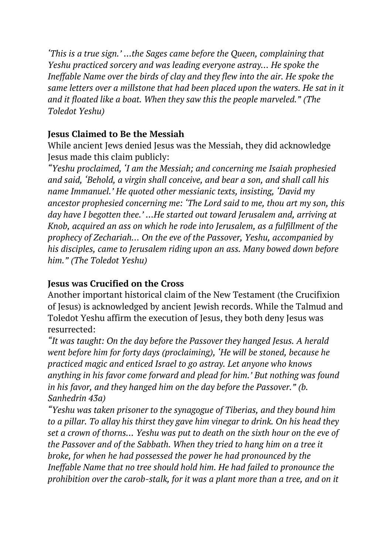*'This is a true sign.' …the Sages came before the Queen, complaining that Yeshu practiced sorcery and was leading everyone astray… He spoke the Ineffable Name over the birds of clay and they flew into the air. He spoke the same letters over a millstone that had been placed upon the waters. He sat in it and it floated like a boat. When they saw this the people marveled." (The Toledot Yeshu)*

## **Jesus Claimed to Be the Messiah**

While ancient Jews denied Jesus was the Messiah, they did acknowledge Jesus made this claim publicly:

*"Yeshu proclaimed, 'I am the Messiah; and concerning me Isaiah prophesied and said, 'Behold, a virgin shall conceive, and bear a son, and shall call his name Immanuel.' He quoted other messianic texts, insisting, 'David my ancestor prophesied concerning me: 'The Lord said to me, thou art my son, this day have I begotten thee.' …He started out toward Jerusalem and, arriving at Knob, acquired an ass on which he rode into Jerusalem, as a fulfillment of the prophecy of Zechariah… On the eve of the Passover, Yeshu, accompanied by his disciples, came to Jerusalem riding upon an ass. Many bowed down before him." (The Toledot Yeshu)*

# **Jesus was Crucified on the Cross**

Another important historical claim of the New Testament (the Crucifixion of Jesus) is acknowledged by ancient Jewish records. While the Talmud and Toledot Yeshu affirm the execution of Jesus, they both deny Jesus was resurrected:

*"It was taught: On the day before the Passover they hanged Jesus. A herald went before him for forty days (proclaiming), 'He will be stoned, because he practiced magic and enticed Israel to go astray. Let anyone who knows anything in his favor come forward and plead for him.' But nothing was found in his favor, and they hanged him on the day before the Passover." (b. Sanhedrin 43a)*

*"Yeshu was taken prisoner to the synagogue of Tiberias, and they bound him to a pillar. To allay his thirst they gave him vinegar to drink. On his head they set a crown of thorns… Yeshu was put to death on the sixth hour on the eve of the Passover and of the Sabbath. When they tried to hang him on a tree it broke, for when he had possessed the power he had pronounced by the Ineffable Name that no tree should hold him. He had failed to pronounce the prohibition over the carob-stalk, for it was a plant more than a tree, and on it*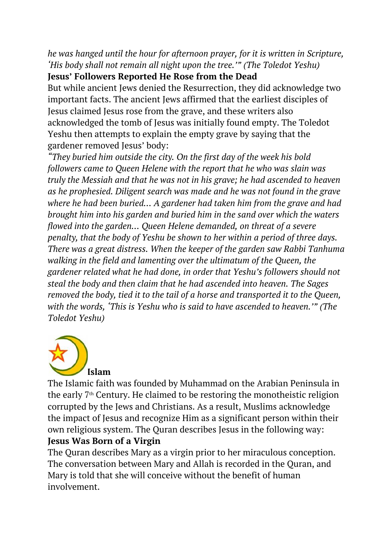*he was hanged until the hour for afternoon prayer, for it is written in Scripture, 'His body shall not remain all night upon the tree.'" (The Toledot Yeshu)*

# **Jesus' Followers Reported He Rose from the Dead**

But while ancient Jews denied the Resurrection, they did acknowledge two important facts. The ancient Jews affirmed that the earliest disciples of Jesus claimed Jesus rose from the grave, and these writers also acknowledged the tomb of Jesus was initially found empty. The Toledot Yeshu then attempts to explain the empty grave by saying that the gardener removed Jesus' body:

*"They buried him outside the city. On the first day of the week his bold followers came to Queen Helene with the report that he who was slain was truly the Messiah and that he was not in his grave; he had ascended to heaven as he prophesied. Diligent search was made and he was not found in the grave where he had been buried… A gardener had taken him from the grave and had brought him into his garden and buried him in the sand over which the waters flowed into the garden… Queen Helene demanded, on threat of a severe penalty, that the body of Yeshu be shown to her within a period of three days. There was a great distress. When the keeper of the garden saw Rabbi Tanhuma walking in the field and lamenting over the ultimatum of the Queen, the gardener related what he had done, in order that Yeshu's followers should not steal the body and then claim that he had ascended into heaven. The Sages removed the body, tied it to the tail of a horse and transported it to the Queen, with the words, 'This is Yeshu who is said to have ascended to heaven.'" (The Toledot Yeshu)*



The Islamic faith was founded by Muhammad on the Arabian Peninsula in the early  $7<sup>th</sup>$  Century. He claimed to be restoring the monotheistic religion corrupted by the Jews and Christians. As a result, Muslims acknowledge the impact of Jesus and recognize Him as a significant person within their own religious system. The Quran describes Jesus in the following way: **Jesus Was Born of a Virgin**

The Quran describes Mary as a virgin prior to her miraculous conception. The conversation between Mary and Allah is recorded in the Quran, and Mary is told that she will conceive without the benefit of human involvement.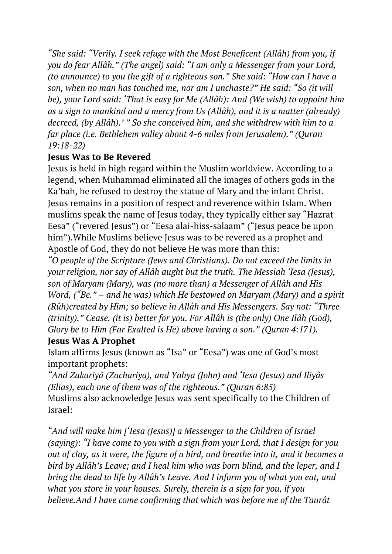*"She said: "Verily. I seek refuge with the Most Beneficent (Allâh) from you, if you do fear Allâh." (The angel) said: "I am only a Messenger from your Lord, (to announce) to you the gift of a righteous son." She said: "How can I have a son, when no man has touched me, nor am I unchaste?" He said: "So (it will be), your Lord said: 'That is easy for Me (Allâh): And (We wish) to appoint him as a sign to mankind and a mercy from Us (Allâh), and it is a matter (already) decreed, (by Allâh).' " So she conceived him, and she withdrew with him to a far place (i.e. Bethlehem valley about 4-6 miles from Jerusalem)." (Quran 19:18-22)*

# **Jesus Was to Be Revered**

Jesus is held in high regard within the Muslim worldview. According to a legend, when Muhammad eliminated all the images of others gods in the Ka'bah, he refused to destroy the statue of Mary and the infant Christ. Jesus remains in a position of respect and reverence within Islam. When muslims speak the name of Jesus today, they typically either say "Hazrat Eesa" ("revered Jesus") or "Eesa alai-hiss-salaam" ("Jesus peace be upon him").While Muslims believe Jesus was to be revered as a prophet and Apostle of God, they do not believe He was more than this:

*"O people of the Scripture (Jews and Christians). Do not exceed the limits in your religion, nor say of Allâh aught but the truth. The Messiah 'Iesa (Jesus), son of Maryam (Mary), was (no more than) a Messenger of Allâh and His Word, ("Be." – and he was) which He bestowed on Maryam (Mary) and a spirit (Rûh)created by Him; so believe in Allâh and His Messengers. Say not: "Three (trinity)." Cease. (it is) better for you. For Allâh is (the only) One Ilâh (God), Glory be to Him (Far Exalted is He) above having a son." (Quran 4:171).*

# **Jesus Was A Prophet**

Islam affirms Jesus (known as "Isa" or "Eesa") was one of God's most important prophets:

*"And Zakariyâ (Zachariya), and Yahya (John) and 'Iesa (Jesus) and Iliyâs (Elias), each one of them was of the righteous." (Quran 6:85)* Muslims also acknowledge Jesus was sent specifically to the Children of Israel:

*"And will make him ['Iesa (Jesus)] a Messenger to the Children of Israel (saying): "I have come to you with a sign from your Lord, that I design for you out of clay, as it were, the figure of a bird, and breathe into it, and it becomes a bird by Allâh's Leave; and I heal him who was born blind, and the leper, and I bring the dead to life by Allâh's Leave. And I inform you of what you eat, and what you store in your houses. Surely, therein is a sign for you, if you believe.And I have come confirming that which was before me of the Taurât*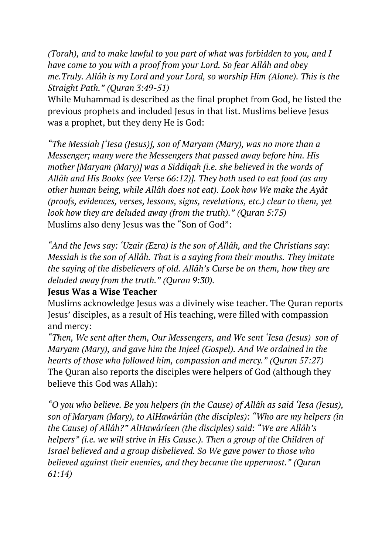*(Torah), and to make lawful to you part of what was forbidden to you, and I have come to you with a proof from your Lord. So fear Allâh and obey me.Truly. Allâh is my Lord and your Lord, so worship Him (Alone). This is the Straight Path." (Quran 3:49-51)*

While Muhammad is described as the final prophet from God, he listed the previous prophets and included Jesus in that list. Muslims believe Jesus was a prophet, but they deny He is God:

*"The Messiah ['Iesa (Jesus)], son of Maryam (Mary), was no more than a Messenger; many were the Messengers that passed away before him. His mother [Maryam (Mary)] was a Siddiqah [i.e. she believed in the words of Allâh and His Books (see Verse 66:12)]. They both used to eat food (as any other human being, while Allâh does not eat). Look how We make the Ayât (proofs, evidences, verses, lessons, signs, revelations, etc.) clear to them, yet look how they are deluded away (from the truth)." (Quran 5:75)* Muslims also deny Jesus was the "Son of God":

*"And the Jews say: 'Uzair (Ezra) is the son of Allâh, and the Christians say: Messiah is the son of Allâh. That is a saying from their mouths. They imitate the saying of the disbelievers of old. Allâh's Curse be on them, how they are deluded away from the truth." (Quran 9:30).*

## **Jesus Was a Wise Teacher**

Muslims acknowledge Jesus was a divinely wise teacher. The Quran reports Jesus' disciples, as a result of His teaching, were filled with compassion and mercy:

*"Then, We sent after them, Our Messengers, and We sent 'Iesa (Jesus) son of Maryam (Mary), and gave him the Injeel (Gospel). And We ordained in the hearts of those who followed him, compassion and mercy." (Quran 57:27)* The Quran also reports the disciples were helpers of God (although they believe this God was Allah):

*"O you who believe. Be you helpers (in the Cause) of Allâh as said 'Iesa (Jesus), son of Maryam (Mary), to AlHawârîûn (the disciples): "Who are my helpers (in the Cause) of Allâh?" AlHawârîeen (the disciples) said: "We are Allâh's helpers" (i.e. we will strive in His Cause.). Then a group of the Children of Israel believed and a group disbelieved. So We gave power to those who believed against their enemies, and they became the uppermost." (Quran 61:14)*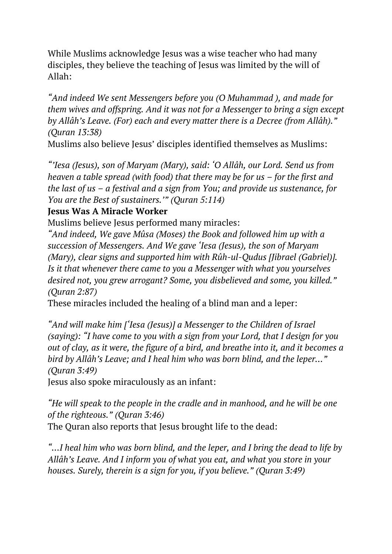While Muslims acknowledge Jesus was a wise teacher who had many disciples, they believe the teaching of Jesus was limited by the will of Allah:

*"And indeed We sent Messengers before you (O Muhammad ), and made for them wives and offspring. And it was not for a Messenger to bring a sign except by Allâh's Leave. (For) each and every matter there is a Decree (from Allâh)." (Quran 13:38)*

Muslims also believe Jesus' disciples identified themselves as Muslims:

*"'Iesa (Jesus), son of Maryam (Mary), said: 'O Allâh, our Lord. Send us from heaven a table spread (with food) that there may be for us – for the first and the last of us – a festival and a sign from You; and provide us sustenance, for You are the Best of sustainers.'" (Quran 5:114)*

## **Jesus Was A Miracle Worker**

Muslims believe Jesus performed many miracles:

*"And indeed, We gave Mûsa (Moses) the Book and followed him up with a succession of Messengers. And We gave 'Iesa (Jesus), the son of Maryam (Mary), clear signs and supported him with Rûh-ul-Qudus [Jibrael (Gabriel)]. Is it that whenever there came to you a Messenger with what you yourselves desired not, you grew arrogant? Some, you disbelieved and some, you killed." (Quran 2:87)*

These miracles included the healing of a blind man and a leper:

*"And will make him ['Iesa (Jesus)] a Messenger to the Children of Israel (saying): "I have come to you with a sign from your Lord, that I design for you out of clay, as it were, the figure of a bird, and breathe into it, and it becomes a bird by Allâh's Leave; and I heal him who was born blind, and the leper…" (Quran 3:49)*

Jesus also spoke miraculously as an infant:

*"He will speak to the people in the cradle and in manhood, and he will be one of the righteous." (Quran 3:46)* The Quran also reports that Jesus brought life to the dead:

*"…I heal him who was born blind, and the leper, and I bring the dead to life by Allâh's Leave. And I inform you of what you eat, and what you store in your houses. Surely, therein is a sign for you, if you believe." (Quran 3:49)*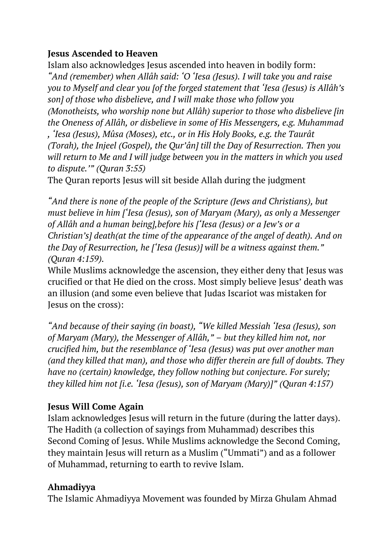## **Jesus Ascended to Heaven**

Islam also acknowledges Jesus ascended into heaven in bodily form: *"And (remember) when Allâh said: 'O 'Iesa (Jesus). I will take you and raise you to Myself and clear you [of the forged statement that 'Iesa (Jesus) is Allâh's son] of those who disbelieve, and I will make those who follow you (Monotheists, who worship none but Allâh) superior to those who disbelieve [in the Oneness of Allâh, or disbelieve in some of His Messengers, e.g. Muhammad , 'Iesa (Jesus), Mûsa (Moses), etc., or in His Holy Books, e.g. the Taurât (Torah), the Injeel (Gospel), the Qur'ân] till the Day of Resurrection. Then you will return to Me and I will judge between you in the matters in which you used to dispute.'" (Quran 3:55)*

The Quran reports Jesus will sit beside Allah during the judgment

*"And there is none of the people of the Scripture (Jews and Christians), but must believe in him ['Iesa (Jesus), son of Maryam (Mary), as only a Messenger of Allâh and a human being],before his ['Iesa (Jesus) or a Jew's or a Christian's] death(at the time of the appearance of the angel of death). And on the Day of Resurrection, he ['Iesa (Jesus)] will be a witness against them." (Quran 4:159).*

While Muslims acknowledge the ascension, they either deny that Jesus was crucified or that He died on the cross. Most simply believe Jesus' death was an illusion (and some even believe that Judas Iscariot was mistaken for Jesus on the cross):

*"And because of their saying (in boast), "We killed Messiah 'Iesa (Jesus), son of Maryam (Mary), the Messenger of Allâh," – but they killed him not, nor crucified him, but the resemblance of 'Iesa (Jesus) was put over another man (and they killed that man), and those who differ therein are full of doubts. They have no (certain) knowledge, they follow nothing but conjecture. For surely; they killed him not [i.e. 'Iesa (Jesus), son of Maryam (Mary)]" (Quran 4:157)*

# **Jesus Will Come Again**

Islam acknowledges Jesus will return in the future (during the latter days). The Hadith (a collection of sayings from Muhammad) describes this Second Coming of Jesus. While Muslims acknowledge the Second Coming, they maintain Jesus will return as a Muslim ("Ummati") and as a follower of Muhammad, returning to earth to revive Islam.

# **Ahmadiyya**

The Islamic Ahmadiyya Movement was founded by Mirza Ghulam Ahmad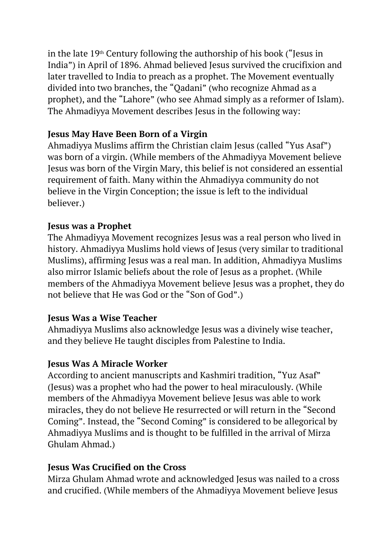in the late 19<sup>th</sup> Century following the authorship of his book ("Jesus in India") in April of 1896. Ahmad believed Jesus survived the crucifixion and later travelled to India to preach as a prophet. The Movement eventually divided into two branches, the "Qadani" (who recognize Ahmad as a prophet), and the "Lahore" (who see Ahmad simply as a reformer of Islam). The Ahmadiyya Movement describes Jesus in the following way:

# **Jesus May Have Been Born of a Virgin**

Ahmadiyya Muslims affirm the Christian claim Jesus (called "Yus Asaf") was born of a virgin. (While members of the Ahmadiyya Movement believe Jesus was born of the Virgin Mary, this belief is not considered an essential requirement of faith. Many within the Ahmadiyya community do not believe in the Virgin Conception; the issue is left to the individual believer.)

# **Jesus was a Prophet**

The Ahmadiyya Movement recognizes Jesus was a real person who lived in history. Ahmadiyya Muslims hold views of Jesus (very similar to traditional Muslims), affirming Jesus was a real man. In addition, Ahmadiyya Muslims also mirror Islamic beliefs about the role of Jesus as a prophet. (While members of the Ahmadiyya Movement believe Jesus was a prophet, they do not believe that He was God or the "Son of God".)

# **Jesus Was a Wise Teacher**

Ahmadiyya Muslims also acknowledge Jesus was a divinely wise teacher, and they believe He taught disciples from Palestine to India.

# **Jesus Was A Miracle Worker**

According to ancient manuscripts and Kashmiri tradition, "Yuz Asaf" (Jesus) was a prophet who had the power to heal miraculously. (While members of the Ahmadiyya Movement believe Jesus was able to work miracles, they do not believe He resurrected or will return in the "Second Coming". Instead, the "Second Coming" is considered to be allegorical by Ahmadiyya Muslims and is thought to be fulfilled in the arrival of Mirza Ghulam Ahmad.)

# **Jesus Was Crucified on the Cross**

Mirza Ghulam Ahmad wrote and acknowledged Jesus was nailed to a cross and crucified. (While members of the Ahmadiyya Movement believe Jesus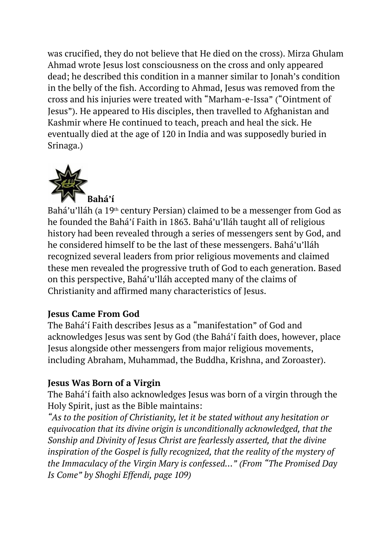was crucified, they do not believe that He died on the cross). Mirza Ghulam Ahmad wrote Jesus lost consciousness on the cross and only appeared dead; he described this condition in a manner similar to Jonah's condition in the belly of the fish. According to Ahmad, Jesus was removed from the cross and his injuries were treated with "Marham-e-Issa" ("Ointment of Jesus"). He appeared to His disciples, then travelled to Afghanistan and Kashmir where He continued to teach, preach and heal the sick. He eventually died at the age of 120 in India and was supposedly buried in Srinaga.)



Bahá'u'lláh (a 19<sup>th</sup> century Persian) claimed to be a messenger from God as he founded the Bahá'í Faith in 1863. Bahá'u'lláh taught all of religious history had been revealed through a series of messengers sent by God, and he considered himself to be the last of these messengers. Bahá'u'lláh recognized several leaders from prior religious movements and claimed these men revealed the progressive truth of God to each generation. Based on this perspective, Bahá'u'lláh accepted many of the claims of Christianity and affirmed many characteristics of Jesus.

## **Jesus Came From God**

The Bahá'í Faith describes Jesus as a "manifestation" of God and acknowledges Jesus was sent by God (the Bahá'í faith does, however, place Jesus alongside other messengers from major religious movements, including Abraham, Muhammad, the Buddha, Krishna, and Zoroaster).

# **Jesus Was Born of a Virgin**

The Bahá'í faith also acknowledges Jesus was born of a virgin through the Holy Spirit, just as the Bible maintains:

*"As to the position of Christianity, let it be stated without any hesitation or equivocation that its divine origin is unconditionally acknowledged, that the Sonship and Divinity of Jesus Christ are fearlessly asserted, that the divine inspiration of the Gospel is fully recognized, that the reality of the mystery of the Immaculacy of the Virgin Mary is confessed…" (From "The Promised Day Is Come" by Shoghi Effendi, page 109)*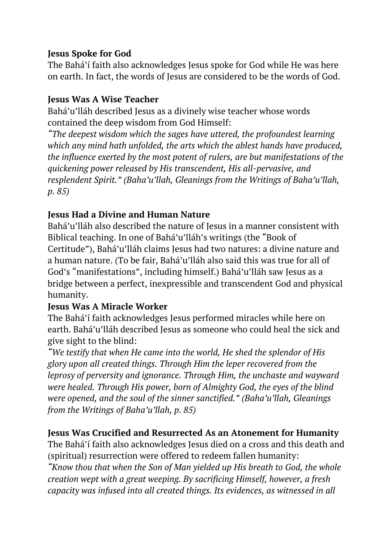## **Jesus Spoke for God**

The Bahá'í faith also acknowledges Jesus spoke for God while He was here on earth. In fact, the words of Jesus are considered to be the words of God.

## **Jesus Was A Wise Teacher**

Bahá'u'lláh described Jesus as a divinely wise teacher whose words contained the deep wisdom from God Himself:

*"The deepest wisdom which the sages have uttered, the profoundest learning which any mind hath unfolded, the arts which the ablest hands have produced, the influence exerted by the most potent of rulers, are but manifestations of the quickening power released by His transcendent, His all-pervasive, and resplendent Spirit." (Baha'u'llah, Gleanings from the Writings of Baha'u'llah, p. 85)*

# **Jesus Had a Divine and Human Nature**

Bahá'u'lláh also described the nature of Jesus in a manner consistent with Biblical teaching. In one of Bahá'u'lláh's writings (the "Book of Certitude"), Bahá'u'lláh claims Jesus had two natures: a divine nature and a human nature. (To be fair, Bahá'u'lláh also said this was true for all of God's "manifestations", including himself.) Bahá'u'lláh saw Jesus as a bridge between a perfect, inexpressible and transcendent God and physical humanity.

# **Jesus Was A Miracle Worker**

The Bahá'í faith acknowledges Jesus performed miracles while here on earth. Bahá'u'lláh described Jesus as someone who could heal the sick and give sight to the blind:

*"We testify that when He came into the world, He shed the splendor of His glory upon all created things. Through Him the leper recovered from the leprosy of perversity and ignorance. Through Him, the unchaste and wayward were healed. Through His power, born of Almighty God, the eyes of the blind were opened, and the soul of the sinner sanctified." (Baha'u'llah, Gleanings from the Writings of Baha'u'llah, p. 85)*

# **Jesus Was Crucified and Resurrected As an Atonement for Humanity**

The Bahá'í faith also acknowledges Jesus died on a cross and this death and (spiritual) resurrection were offered to redeem fallen humanity:

*"Know thou that when the Son of Man yielded up His breath to God, the whole creation wept with a great weeping. By sacrificing Himself, however, a fresh capacity was infused into all created things. Its evidences, as witnessed in all*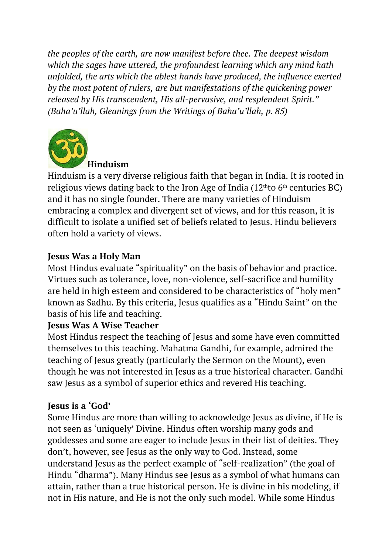*the peoples of the earth, are now manifest before thee. The deepest wisdom which the sages have uttered, the profoundest learning which any mind hath unfolded, the arts which the ablest hands have produced, the influence exerted by the most potent of rulers, are but manifestations of the quickening power released by His transcendent, His all-pervasive, and resplendent Spirit." (Baha'u'llah, Gleanings from the Writings of Baha'u'llah, p. 85)*



**Hinduism**

Hinduism is a very diverse religious faith that began in India. It is rooted in religious views dating back to the Iron Age of India  $(12<sup>th</sup>$ to 6<sup>th</sup> centuries BC) and it has no single founder. There are many varieties of Hinduism embracing a complex and divergent set of views, and for this reason, it is difficult to isolate a unified set of beliefs related to Jesus. Hindu believers often hold a variety of views.

# **Jesus Was a Holy Man**

Most Hindus evaluate "spirituality" on the basis of behavior and practice. Virtues such as tolerance, love, non-violence, self-sacrifice and humility are held in high esteem and considered to be characteristics of "holy men" known as Sadhu. By this criteria, Jesus qualifies as a "Hindu Saint" on the basis of his life and teaching.

## **Jesus Was A Wise Teacher**

Most Hindus respect the teaching of Jesus and some have even committed themselves to this teaching. Mahatma Gandhi, for example, admired the teaching of Jesus greatly (particularly the Sermon on the Mount), even though he was not interested in Jesus as a true historical character. Gandhi saw Jesus as a symbol of superior ethics and revered His teaching.

## **Jesus is a 'God'**

Some Hindus are more than willing to acknowledge Jesus as divine, if He is not seen as 'uniquely' Divine. Hindus often worship many gods and goddesses and some are eager to include Jesus in their list of deities. They don't, however, see Jesus as the only way to God. Instead, some understand Jesus as the perfect example of "self-realization" (the goal of Hindu "dharma"). Many Hindus see Jesus as a symbol of what humans can attain, rather than a true historical person. He is divine in his modeling, if not in His nature, and He is not the only such model. While some Hindus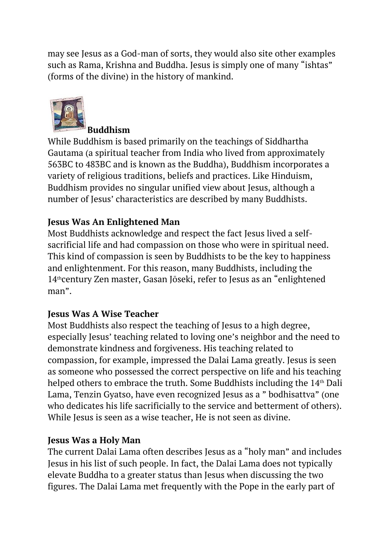may see Jesus as a God-man of sorts, they would also site other examples such as Rama, Krishna and Buddha. Jesus is simply one of many "ishtas" (forms of the divine) in the history of mankind.



#### **Buddhism**

While Buddhism is based primarily on the teachings of Siddhartha Gautama (a spiritual teacher from India who lived from approximately 563BC to 483BC and is known as the Buddha), Buddhism incorporates a variety of religious traditions, beliefs and practices. Like Hinduism, Buddhism provides no singular unified view about Jesus, although a number of Jesus' characteristics are described by many Buddhists.

## **Jesus Was An Enlightened Man**

Most Buddhists acknowledge and respect the fact Jesus lived a selfsacrificial life and had compassion on those who were in spiritual need. This kind of compassion is seen by Buddhists to be the key to happiness and enlightenment. For this reason, many Buddhists, including the 14thcentury Zen master, Gasan Jōseki, refer to Jesus as an "enlightened man".

## **Jesus Was A Wise Teacher**

Most Buddhists also respect the teaching of Jesus to a high degree, especially Jesus' teaching related to loving one's neighbor and the need to demonstrate kindness and forgiveness. His teaching related to compassion, for example, impressed the Dalai Lama greatly. Jesus is seen as someone who possessed the correct perspective on life and his teaching helped others to embrace the truth. Some Buddhists including the 14th Dali Lama, Tenzin Gyatso, have even recognized Jesus as a " bodhisattva" (one who dedicates his life sacrificially to the service and betterment of others). While Jesus is seen as a wise teacher, He is not seen as divine.

## **Jesus Was a Holy Man**

The current Dalai Lama often describes Jesus as a "holy man" and includes Jesus in his list of such people. In fact, the Dalai Lama does not typically elevate Buddha to a greater status than Jesus when discussing the two figures. The Dalai Lama met frequently with the Pope in the early part of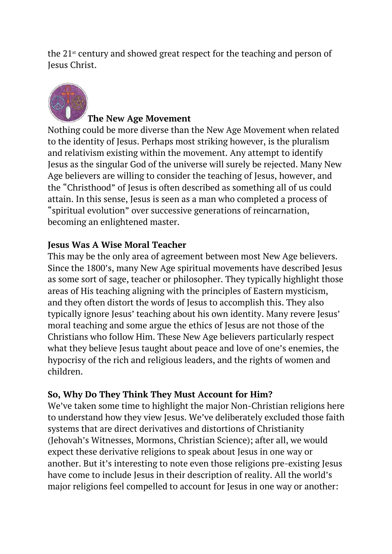the 21<sup>st</sup> century and showed great respect for the teaching and person of Jesus Christ.



## **The New Age Movement**

Nothing could be more diverse than the New Age Movement when related to the identity of Jesus. Perhaps most striking however, is the pluralism and relativism existing within the movement. Any attempt to identify Jesus as the singular God of the universe will surely be rejected. Many New Age believers are willing to consider the teaching of Jesus, however, and the "Christhood" of Jesus is often described as something all of us could attain. In this sense, Jesus is seen as a man who completed a process of "spiritual evolution" over successive generations of reincarnation, becoming an enlightened master.

## **Jesus Was A Wise Moral Teacher**

This may be the only area of agreement between most New Age believers. Since the 1800's, many New Age spiritual movements have described Jesus as some sort of sage, teacher or philosopher. They typically highlight those areas of His teaching aligning with the principles of Eastern mysticism, and they often distort the words of Jesus to accomplish this. They also typically ignore Jesus' teaching about his own identity. Many revere Jesus' moral teaching and some argue the ethics of Jesus are not those of the Christians who follow Him. These New Age believers particularly respect what they believe Jesus taught about peace and love of one's enemies, the hypocrisy of the rich and religious leaders, and the rights of women and children.

## **So, Why Do They Think They Must Account for Him?**

We've taken some time to highlight the major Non-Christian religions here to understand how they view Jesus. We've deliberately excluded those faith systems that are direct derivatives and distortions of Christianity (Jehovah's Witnesses, Mormons, Christian Science); after all, we would expect these derivative religions to speak about Jesus in one way or another. But it's interesting to note even those religions pre-existing Jesus have come to include Jesus in their description of reality. All the world's major religions feel compelled to account for Jesus in one way or another: